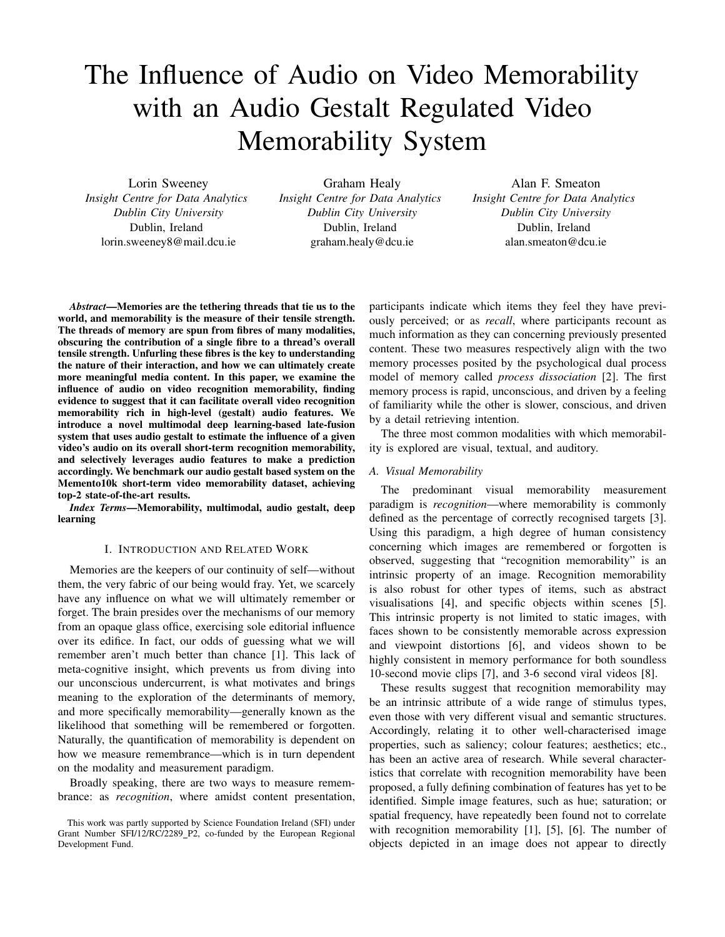# The Influence of Audio on Video Memorability with an Audio Gestalt Regulated Video Memorability System

Lorin Sweeney *Insight Centre for Data Analytics Dublin City University* Dublin, Ireland lorin.sweeney8@mail.dcu.ie

Graham Healy *Insight Centre for Data Analytics Dublin City University* Dublin, Ireland graham.healy@dcu.ie

Alan F. Smeaton *Insight Centre for Data Analytics Dublin City University* Dublin, Ireland alan.smeaton@dcu.ie

*Abstract*—Memories are the tethering threads that tie us to the world, and memorability is the measure of their tensile strength. The threads of memory are spun from fibres of many modalities, obscuring the contribution of a single fibre to a thread's overall tensile strength. Unfurling these fibres is the key to understanding the nature of their interaction, and how we can ultimately create more meaningful media content. In this paper, we examine the influence of audio on video recognition memorability, finding evidence to suggest that it can facilitate overall video recognition memorability rich in high-level (gestalt) audio features. We introduce a novel multimodal deep learning-based late-fusion system that uses audio gestalt to estimate the influence of a given video's audio on its overall short-term recognition memorability, and selectively leverages audio features to make a prediction accordingly. We benchmark our audio gestalt based system on the Memento10k short-term video memorability dataset, achieving top-2 state-of-the-art results.

*Index Terms*—Memorability, multimodal, audio gestalt, deep learning

#### I. INTRODUCTION AND RELATED WORK

Memories are the keepers of our continuity of self—without them, the very fabric of our being would fray. Yet, we scarcely have any influence on what we will ultimately remember or forget. The brain presides over the mechanisms of our memory from an opaque glass office, exercising sole editorial influence over its edifice. In fact, our odds of guessing what we will remember aren't much better than chance [1]. This lack of meta-cognitive insight, which prevents us from diving into our unconscious undercurrent, is what motivates and brings meaning to the exploration of the determinants of memory, and more specifically memorability—generally known as the likelihood that something will be remembered or forgotten. Naturally, the quantification of memorability is dependent on how we measure remembrance—which is in turn dependent on the modality and measurement paradigm.

Broadly speaking, there are two ways to measure remembrance: as *recognition*, where amidst content presentation, participants indicate which items they feel they have previously perceived; or as *recall*, where participants recount as much information as they can concerning previously presented content. These two measures respectively align with the two memory processes posited by the psychological dual process model of memory called *process dissociation* [2]. The first memory process is rapid, unconscious, and driven by a feeling of familiarity while the other is slower, conscious, and driven by a detail retrieving intention.

The three most common modalities with which memorability is explored are visual, textual, and auditory.

# *A. Visual Memorability*

The predominant visual memorability measurement paradigm is *recognition*—where memorability is commonly defined as the percentage of correctly recognised targets [3]. Using this paradigm, a high degree of human consistency concerning which images are remembered or forgotten is observed, suggesting that "recognition memorability" is an intrinsic property of an image. Recognition memorability is also robust for other types of items, such as abstract visualisations [4], and specific objects within scenes [5]. This intrinsic property is not limited to static images, with faces shown to be consistently memorable across expression and viewpoint distortions [6], and videos shown to be highly consistent in memory performance for both soundless 10-second movie clips [7], and 3-6 second viral videos [8].

These results suggest that recognition memorability may be an intrinsic attribute of a wide range of stimulus types, even those with very different visual and semantic structures. Accordingly, relating it to other well-characterised image properties, such as saliency; colour features; aesthetics; etc., has been an active area of research. While several characteristics that correlate with recognition memorability have been proposed, a fully defining combination of features has yet to be identified. Simple image features, such as hue; saturation; or spatial frequency, have repeatedly been found not to correlate with recognition memorability [1], [5], [6]. The number of objects depicted in an image does not appear to directly

This work was partly supported by Science Foundation Ireland (SFI) under Grant Number SFI/12/RC/2289\_P2, co-funded by the European Regional Development Fund.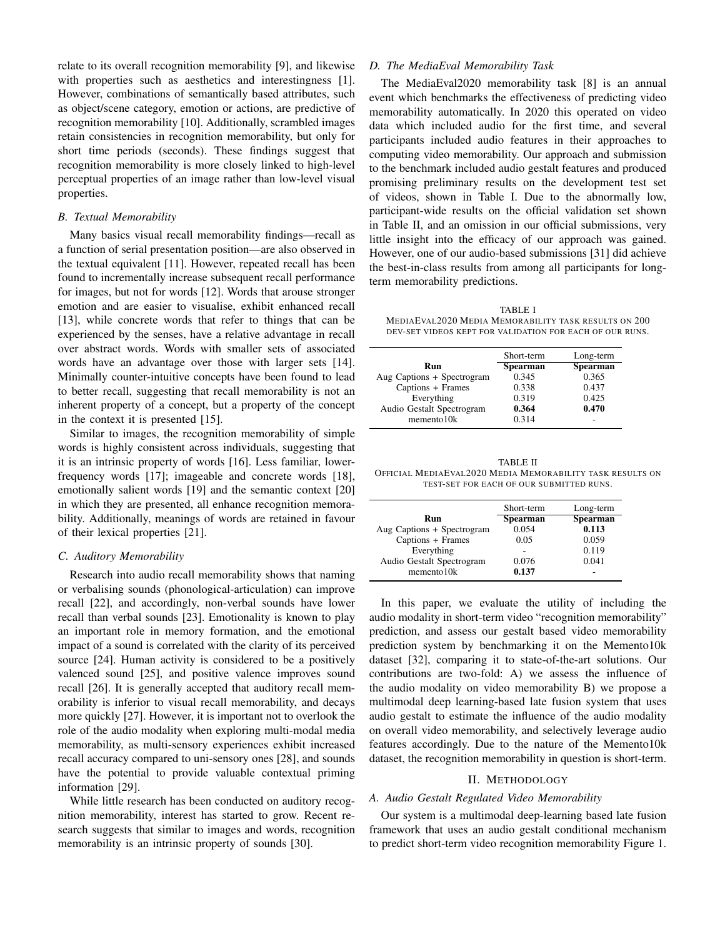relate to its overall recognition memorability [9], and likewise with properties such as aesthetics and interestingness [1]. However, combinations of semantically based attributes, such as object/scene category, emotion or actions, are predictive of recognition memorability [10]. Additionally, scrambled images retain consistencies in recognition memorability, but only for short time periods (seconds). These findings suggest that recognition memorability is more closely linked to high-level perceptual properties of an image rather than low-level visual properties.

# *B. Textual Memorability*

Many basics visual recall memorability findings—recall as a function of serial presentation position—are also observed in the textual equivalent [11]. However, repeated recall has been found to incrementally increase subsequent recall performance for images, but not for words [12]. Words that arouse stronger emotion and are easier to visualise, exhibit enhanced recall [13], while concrete words that refer to things that can be experienced by the senses, have a relative advantage in recall over abstract words. Words with smaller sets of associated words have an advantage over those with larger sets [14]. Minimally counter-intuitive concepts have been found to lead to better recall, suggesting that recall memorability is not an inherent property of a concept, but a property of the concept in the context it is presented [15].

Similar to images, the recognition memorability of simple words is highly consistent across individuals, suggesting that it is an intrinsic property of words [16]. Less familiar, lowerfrequency words [17]; imageable and concrete words [18], emotionally salient words [19] and the semantic context [20] in which they are presented, all enhance recognition memorability. Additionally, meanings of words are retained in favour of their lexical properties [21].

## *C. Auditory Memorability*

Research into audio recall memorability shows that naming or verbalising sounds (phonological-articulation) can improve recall [22], and accordingly, non-verbal sounds have lower recall than verbal sounds [23]. Emotionality is known to play an important role in memory formation, and the emotional impact of a sound is correlated with the clarity of its perceived source [24]. Human activity is considered to be a positively valenced sound [25], and positive valence improves sound recall [26]. It is generally accepted that auditory recall memorability is inferior to visual recall memorability, and decays more quickly [27]. However, it is important not to overlook the role of the audio modality when exploring multi-modal media memorability, as multi-sensory experiences exhibit increased recall accuracy compared to uni-sensory ones [28], and sounds have the potential to provide valuable contextual priming information [29].

While little research has been conducted on auditory recognition memorability, interest has started to grow. Recent research suggests that similar to images and words, recognition memorability is an intrinsic property of sounds [30].

# *D. The MediaEval Memorability Task*

The MediaEval2020 memorability task [8] is an annual event which benchmarks the effectiveness of predicting video memorability automatically. In 2020 this operated on video data which included audio for the first time, and several participants included audio features in their approaches to computing video memorability. Our approach and submission to the benchmark included audio gestalt features and produced promising preliminary results on the development test set of videos, shown in Table I. Due to the abnormally low, participant-wide results on the official validation set shown in Table II, and an omission in our official submissions, very little insight into the efficacy of our approach was gained. However, one of our audio-based submissions [31] did achieve the best-in-class results from among all participants for longterm memorability predictions.

TABLE I MEDIAEVAL2020 MEDIA MEMORABILITY TASK RESULTS ON 200 DEV-SET VIDEOS KEPT FOR VALIDATION FOR EACH OF OUR RUNS.

|                            | Short-term      | Long-term       |
|----------------------------|-----------------|-----------------|
| Run                        | <b>Spearman</b> | <b>Spearman</b> |
| Aug Captions + Spectrogram | 0.345           | 0.365           |
| Captions + Frames          | 0.338           | 0.437           |
| Everything                 | 0.319           | 0.425           |
| Audio Gestalt Spectrogram  | 0.364           | 0.470           |
| memento 10k                | 0.314           |                 |
|                            |                 |                 |

TABLE II OFFICIAL MEDIAEVAL2020 MEDIA MEMORABILITY TASK RESULTS ON TEST-SET FOR EACH OF OUR SUBMITTED RUNS.

| Short-term      | Long-term |
|-----------------|-----------|
| <b>Spearman</b> | Spearman  |
| 0.054           | 0.113     |
| 0.05            | 0.059     |
|                 | 0.119     |
| 0.076           | 0.041     |
| 0.137           |           |
|                 |           |

In this paper, we evaluate the utility of including the audio modality in short-term video "recognition memorability" prediction, and assess our gestalt based video memorability prediction system by benchmarking it on the Memento10k dataset [32], comparing it to state-of-the-art solutions. Our contributions are two-fold: A) we assess the influence of the audio modality on video memorability B) we propose a multimodal deep learning-based late fusion system that uses audio gestalt to estimate the influence of the audio modality on overall video memorability, and selectively leverage audio features accordingly. Due to the nature of the Memento10k dataset, the recognition memorability in question is short-term.

## II. METHODOLOGY

# *A. Audio Gestalt Regulated Video Memorability*

Our system is a multimodal deep-learning based late fusion framework that uses an audio gestalt conditional mechanism to predict short-term video recognition memorability Figure 1.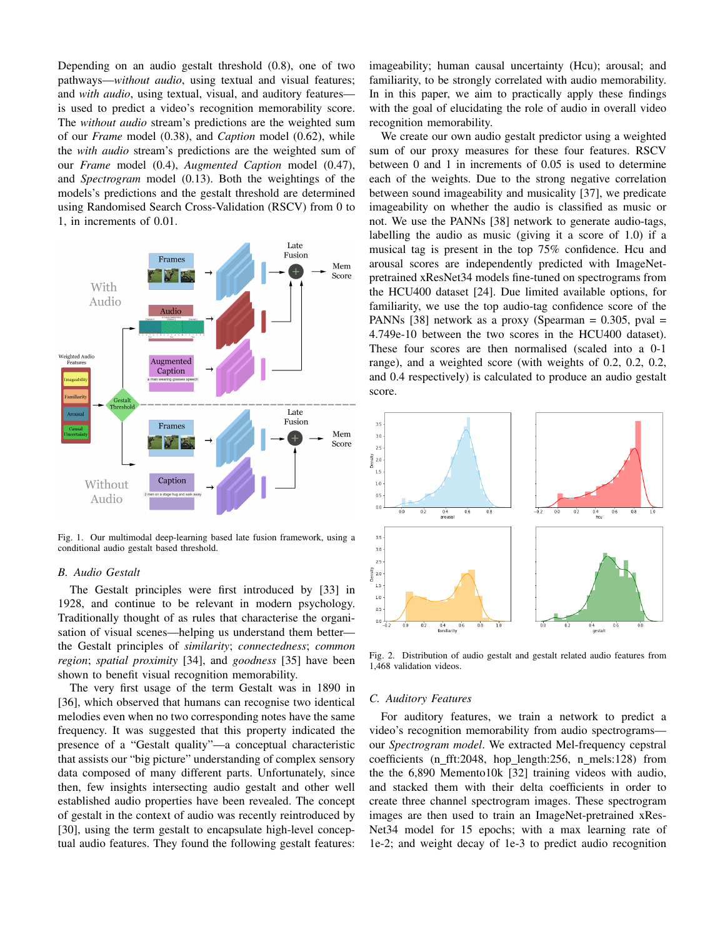Depending on an audio gestalt threshold (0.8), one of two pathways—*without audio*, using textual and visual features; and *with audio*, using textual, visual, and auditory features is used to predict a video's recognition memorability score. The *without audio* stream's predictions are the weighted sum of our *Frame* model (0.38), and *Caption* model (0.62), while the *with audio* stream's predictions are the weighted sum of our *Frame* model (0.4), *Augmented Caption* model (0.47), and *Spectrogram* model (0.13). Both the weightings of the models's predictions and the gestalt threshold are determined using Randomised Search Cross-Validation (RSCV) from 0 to 1, in increments of 0.01.



Fig. 1. Our multimodal deep-learning based late fusion framework, using a conditional audio gestalt based threshold.

## *B. Audio Gestalt*

The Gestalt principles were first introduced by [33] in 1928, and continue to be relevant in modern psychology. Traditionally thought of as rules that characterise the organisation of visual scenes—helping us understand them better the Gestalt principles of *similarity*; *connectedness*; *common region*; *spatial proximity* [34], and *goodness* [35] have been shown to benefit visual recognition memorability.

The very first usage of the term Gestalt was in 1890 in [36], which observed that humans can recognise two identical melodies even when no two corresponding notes have the same frequency. It was suggested that this property indicated the presence of a "Gestalt quality"—a conceptual characteristic that assists our "big picture" understanding of complex sensory data composed of many different parts. Unfortunately, since then, few insights intersecting audio gestalt and other well established audio properties have been revealed. The concept of gestalt in the context of audio was recently reintroduced by [30], using the term gestalt to encapsulate high-level conceptual audio features. They found the following gestalt features: imageability; human causal uncertainty (Hcu); arousal; and familiarity, to be strongly correlated with audio memorability. In in this paper, we aim to practically apply these findings with the goal of elucidating the role of audio in overall video recognition memorability.

We create our own audio gestalt predictor using a weighted sum of our proxy measures for these four features. RSCV between 0 and 1 in increments of 0.05 is used to determine each of the weights. Due to the strong negative correlation between sound imageability and musicality [37], we predicate imageability on whether the audio is classified as music or not. We use the PANNs [38] network to generate audio-tags, labelling the audio as music (giving it a score of 1.0) if a musical tag is present in the top 75% confidence. Hcu and arousal scores are independently predicted with ImageNetpretrained xResNet34 models fine-tuned on spectrograms from the HCU400 dataset [24]. Due limited available options, for familiarity, we use the top audio-tag confidence score of the PANNs [38] network as a proxy (Spearman  $= 0.305$ , pval  $=$ 4.749e-10 between the two scores in the HCU400 dataset). These four scores are then normalised (scaled into a 0-1 range), and a weighted score (with weights of 0.2, 0.2, 0.2, and 0.4 respectively) is calculated to produce an audio gestalt score.



Fig. 2. Distribution of audio gestalt and gestalt related audio features from 1,468 validation videos.

#### *C. Auditory Features*

For auditory features, we train a network to predict a video's recognition memorability from audio spectrograms our *Spectrogram model*. We extracted Mel-frequency cepstral coefficients (n fft:2048, hop length:256, n mels:128) from the the 6,890 Memento10k [32] training videos with audio, and stacked them with their delta coefficients in order to create three channel spectrogram images. These spectrogram images are then used to train an ImageNet-pretrained xRes-Net34 model for 15 epochs; with a max learning rate of 1e-2; and weight decay of 1e-3 to predict audio recognition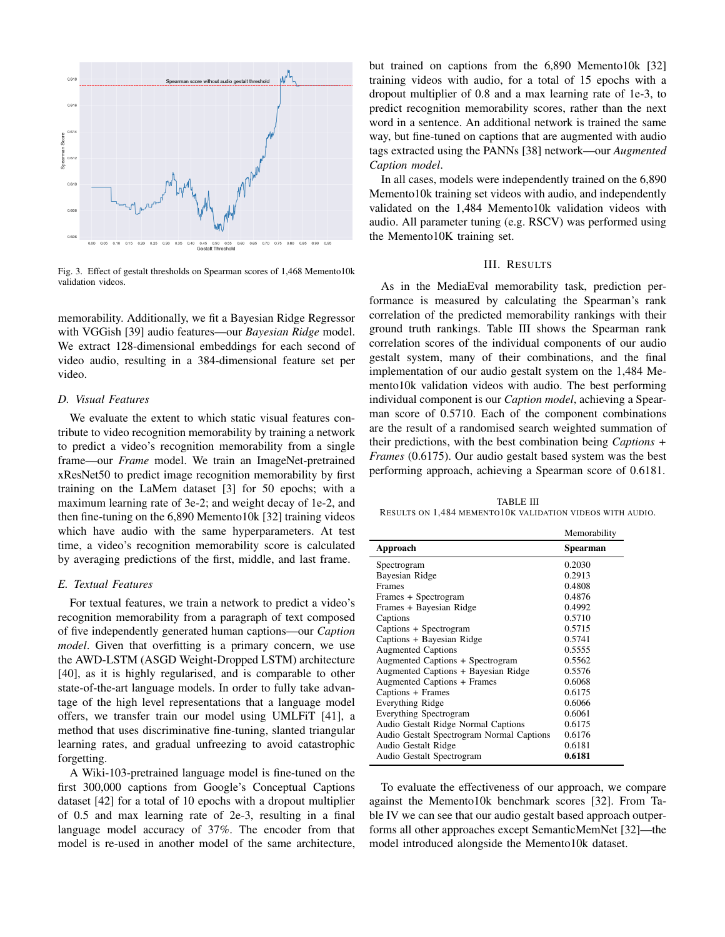

Fig. 3. Effect of gestalt thresholds on Spearman scores of 1,468 Memento10k validation videos.

memorability. Additionally, we fit a Bayesian Ridge Regressor with VGGish [39] audio features—our *Bayesian Ridge* model. We extract 128-dimensional embeddings for each second of video audio, resulting in a 384-dimensional feature set per video.

# *D. Visual Features*

We evaluate the extent to which static visual features contribute to video recognition memorability by training a network to predict a video's recognition memorability from a single frame—our *Frame* model. We train an ImageNet-pretrained xResNet50 to predict image recognition memorability by first training on the LaMem dataset [3] for 50 epochs; with a maximum learning rate of 3e-2; and weight decay of 1e-2, and then fine-tuning on the 6,890 Memento10k [32] training videos which have audio with the same hyperparameters. At test time, a video's recognition memorability score is calculated by averaging predictions of the first, middle, and last frame.

# *E. Textual Features*

For textual features, we train a network to predict a video's recognition memorability from a paragraph of text composed of five independently generated human captions—our *Caption model*. Given that overfitting is a primary concern, we use the AWD-LSTM (ASGD Weight-Dropped LSTM) architecture [40], as it is highly regularised, and is comparable to other state-of-the-art language models. In order to fully take advantage of the high level representations that a language model offers, we transfer train our model using UMLFiT [41], a method that uses discriminative fine-tuning, slanted triangular learning rates, and gradual unfreezing to avoid catastrophic forgetting.

A Wiki-103-pretrained language model is fine-tuned on the first 300,000 captions from Google's Conceptual Captions dataset [42] for a total of 10 epochs with a dropout multiplier of 0.5 and max learning rate of 2e-3, resulting in a final language model accuracy of 37%. The encoder from that model is re-used in another model of the same architecture, but trained on captions from the 6,890 Memento10k [32] training videos with audio, for a total of 15 epochs with a dropout multiplier of 0.8 and a max learning rate of 1e-3, to predict recognition memorability scores, rather than the next word in a sentence. An additional network is trained the same way, but fine-tuned on captions that are augmented with audio tags extracted using the PANNs [38] network—our *Augmented Caption model*.

In all cases, models were independently trained on the 6,890 Memento10k training set videos with audio, and independently validated on the 1,484 Memento10k validation videos with audio. All parameter tuning (e.g. RSCV) was performed using the Memento10K training set.

# III. RESULTS

As in the MediaEval memorability task, prediction performance is measured by calculating the Spearman's rank correlation of the predicted memorability rankings with their ground truth rankings. Table III shows the Spearman rank correlation scores of the individual components of our audio gestalt system, many of their combinations, and the final implementation of our audio gestalt system on the 1,484 Memento10k validation videos with audio. The best performing individual component is our *Caption model*, achieving a Spearman score of 0.5710. Each of the component combinations are the result of a randomised search weighted summation of their predictions, with the best combination being *Captions + Frames* (0.6175). Our audio gestalt based system was the best performing approach, achieving a Spearman score of 0.6181.

TABLE III RESULTS ON 1,484 MEMENTO10K VALIDATION VIDEOS WITH AUDIO.

|                                           | Memorability |
|-------------------------------------------|--------------|
| Approach                                  | Spearman     |
| Spectrogram                               | 0.2030       |
| Bayesian Ridge                            | 0.2913       |
| Frames                                    | 0.4808       |
| Frames + Spectrogram                      | 0.4876       |
| Frames + Bayesian Ridge                   | 0.4992       |
| Captions                                  | 0.5710       |
| Captions + Spectrogram                    | 0.5715       |
| Captions + Bayesian Ridge                 | 0.5741       |
| <b>Augmented Captions</b>                 | 0.5555       |
| Augmented Captions + Spectrogram          | 0.5562       |
| Augmented Captions + Bayesian Ridge       | 0.5576       |
| Augmented Captions + Frames               | 0.6068       |
| Captions + Frames                         | 0.6175       |
| Everything Ridge                          | 0.6066       |
| <b>Everything Spectrogram</b>             | 0.6061       |
| Audio Gestalt Ridge Normal Captions       | 0.6175       |
| Audio Gestalt Spectrogram Normal Captions | 0.6176       |
| Audio Gestalt Ridge                       | 0.6181       |
| Audio Gestalt Spectrogram                 | 0.6181       |

To evaluate the effectiveness of our approach, we compare against the Memento10k benchmark scores [32]. From Table IV we can see that our audio gestalt based approach outperforms all other approaches except SemanticMemNet [32]—the model introduced alongside the Memento10k dataset.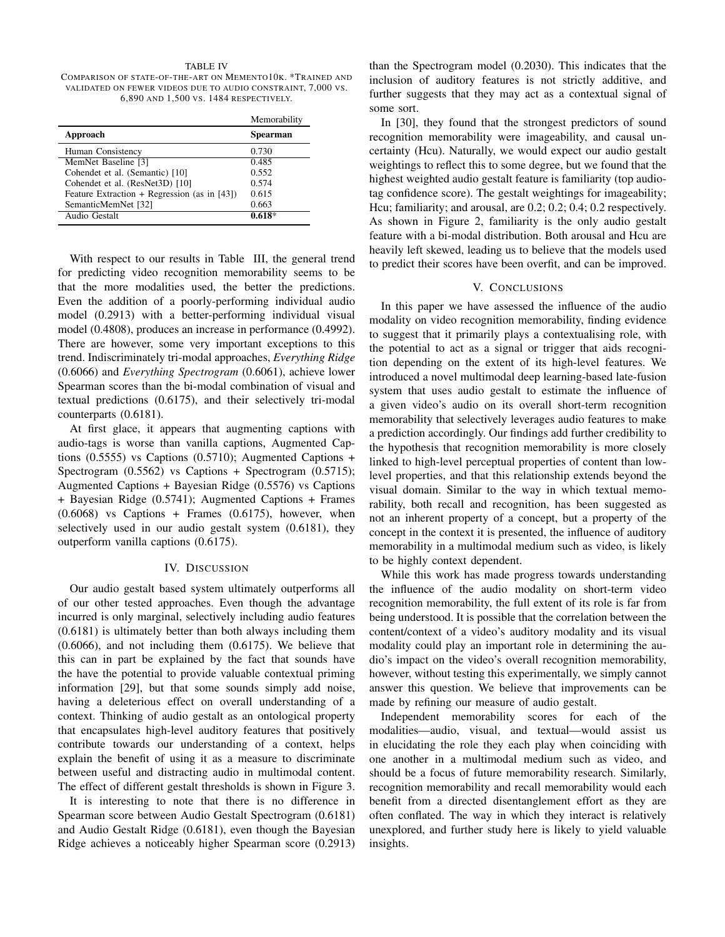#### TABLE IV

COMPARISON OF STATE-OF-THE-ART ON MEMENTO10K. \*TRAINED AND VALIDATED ON FEWER VIDEOS DUE TO AUDIO CONSTRAINT, 7,000 VS. 6,890 AND 1,500 VS. 1484 RESPECTIVELY.

| Memorability    |
|-----------------|
| <b>Spearman</b> |
| 0.730           |
| 0.485           |
| 0.552           |
| 0.574           |
| 0.615           |
| 0.663           |
| $0.618*$        |
|                 |

With respect to our results in Table III, the general trend for predicting video recognition memorability seems to be that the more modalities used, the better the predictions. Even the addition of a poorly-performing individual audio model (0.2913) with a better-performing individual visual model (0.4808), produces an increase in performance (0.4992). There are however, some very important exceptions to this trend. Indiscriminately tri-modal approaches, *Everything Ridge* (0.6066) and *Everything Spectrogram* (0.6061), achieve lower Spearman scores than the bi-modal combination of visual and textual predictions (0.6175), and their selectively tri-modal counterparts (0.6181).

At first glace, it appears that augmenting captions with audio-tags is worse than vanilla captions, Augmented Captions  $(0.5555)$  vs Captions  $(0.5710)$ ; Augmented Captions + Spectrogram (0.5562) vs Captions + Spectrogram (0.5715); Augmented Captions + Bayesian Ridge (0.5576) vs Captions + Bayesian Ridge (0.5741); Augmented Captions + Frames  $(0.6068)$  vs Captions + Frames  $(0.6175)$ , however, when selectively used in our audio gestalt system (0.6181), they outperform vanilla captions (0.6175).

#### IV. DISCUSSION

Our audio gestalt based system ultimately outperforms all of our other tested approaches. Even though the advantage incurred is only marginal, selectively including audio features (0.6181) is ultimately better than both always including them (0.6066), and not including them (0.6175). We believe that this can in part be explained by the fact that sounds have the have the potential to provide valuable contextual priming information [29], but that some sounds simply add noise, having a deleterious effect on overall understanding of a context. Thinking of audio gestalt as an ontological property that encapsulates high-level auditory features that positively contribute towards our understanding of a context, helps explain the benefit of using it as a measure to discriminate between useful and distracting audio in multimodal content. The effect of different gestalt thresholds is shown in Figure 3.

It is interesting to note that there is no difference in Spearman score between Audio Gestalt Spectrogram (0.6181) and Audio Gestalt Ridge (0.6181), even though the Bayesian Ridge achieves a noticeably higher Spearman score (0.2913) than the Spectrogram model (0.2030). This indicates that the inclusion of auditory features is not strictly additive, and further suggests that they may act as a contextual signal of some sort.

In [30], they found that the strongest predictors of sound recognition memorability were imageability, and causal uncertainty (Hcu). Naturally, we would expect our audio gestalt weightings to reflect this to some degree, but we found that the highest weighted audio gestalt feature is familiarity (top audiotag confidence score). The gestalt weightings for imageability; Hcu; familiarity; and arousal, are 0.2; 0.2; 0.4; 0.2 respectively. As shown in Figure 2, familiarity is the only audio gestalt feature with a bi-modal distribution. Both arousal and Hcu are heavily left skewed, leading us to believe that the models used to predict their scores have been overfit, and can be improved.

# V. CONCLUSIONS

In this paper we have assessed the influence of the audio modality on video recognition memorability, finding evidence to suggest that it primarily plays a contextualising role, with the potential to act as a signal or trigger that aids recognition depending on the extent of its high-level features. We introduced a novel multimodal deep learning-based late-fusion system that uses audio gestalt to estimate the influence of a given video's audio on its overall short-term recognition memorability that selectively leverages audio features to make a prediction accordingly. Our findings add further credibility to the hypothesis that recognition memorability is more closely linked to high-level perceptual properties of content than lowlevel properties, and that this relationship extends beyond the visual domain. Similar to the way in which textual memorability, both recall and recognition, has been suggested as not an inherent property of a concept, but a property of the concept in the context it is presented, the influence of auditory memorability in a multimodal medium such as video, is likely to be highly context dependent.

While this work has made progress towards understanding the influence of the audio modality on short-term video recognition memorability, the full extent of its role is far from being understood. It is possible that the correlation between the content/context of a video's auditory modality and its visual modality could play an important role in determining the audio's impact on the video's overall recognition memorability, however, without testing this experimentally, we simply cannot answer this question. We believe that improvements can be made by refining our measure of audio gestalt.

Independent memorability scores for each of the modalities—audio, visual, and textual—would assist us in elucidating the role they each play when coinciding with one another in a multimodal medium such as video, and should be a focus of future memorability research. Similarly, recognition memorability and recall memorability would each benefit from a directed disentanglement effort as they are often conflated. The way in which they interact is relatively unexplored, and further study here is likely to yield valuable insights.